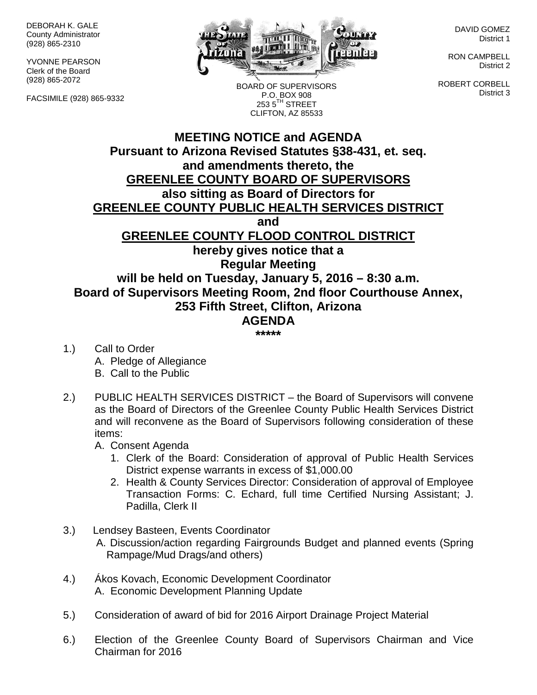DEBORAH K. GALE County Administrator (928) 865-2310

YVONNE PEARSON Clerk of the Board (928) 865-2072

FACSIMILE (928) 865-9332



DAVID GOMEZ District 1

RON CAMPBELL District 2

ROBERT CORBELL District 3

BOARD OF SUPERVISORS P.O. BOX 908  $2535^{\text{TH}}$  STREET CLIFTON, AZ 85533

## **MEETING NOTICE and AGENDA Pursuant to Arizona Revised Statutes §38-431, et. seq. and amendments thereto, the GREENLEE COUNTY BOARD OF SUPERVISORS also sitting as Board of Directors for GREENLEE COUNTY PUBLIC HEALTH SERVICES DISTRICT and GREENLEE COUNTY FLOOD CONTROL DISTRICT hereby gives notice that a Regular Meeting will be held on Tuesday, January 5, 2016 – 8:30 a.m. Board of Supervisors Meeting Room, 2nd floor Courthouse Annex, 253 Fifth Street, Clifton, Arizona AGENDA**

**\*\*\*\*\***

- 1.) Call to Order A. Pledge of Allegiance B. Call to the Public
- 2.) PUBLIC HEALTH SERVICES DISTRICT the Board of Supervisors will convene as the Board of Directors of the Greenlee County Public Health Services District and will reconvene as the Board of Supervisors following consideration of these items:

A. Consent Agenda

- 1. Clerk of the Board: Consideration of approval of Public Health Services District expense warrants in excess of \$1,000.00
- 2. Health & County Services Director: Consideration of approval of Employee Transaction Forms: C. Echard, full time Certified Nursing Assistant; J. Padilla, Clerk II
- 3.) Lendsey Basteen, Events Coordinator A. Discussion/action regarding Fairgrounds Budget and planned events (Spring Rampage/Mud Drags/and others)
- 4.) Ákos Kovach, Economic Development Coordinator A. Economic Development Planning Update
- 5.) Consideration of award of bid for 2016 Airport Drainage Project Material
- 6.) Election of the Greenlee County Board of Supervisors Chairman and Vice Chairman for 2016